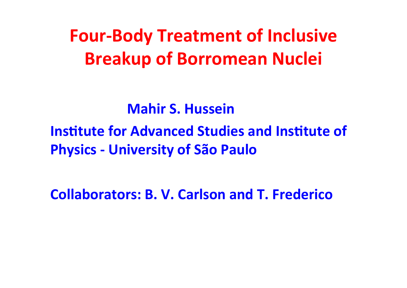**Four-Body Treatment of Inclusive Breakup of Borromean Nuclei** 

**Mahir S. Hussein** 

**Institute for Advanced Studies and Institute of Physics - University of São Paulo** 

**Collaborators: B. V. Carlson and T. Frederico**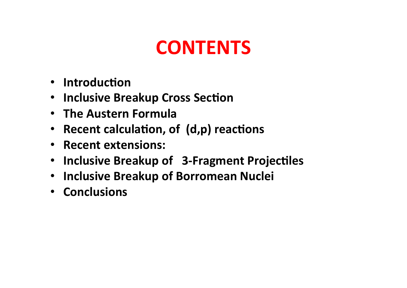## **CONTENTS**

- Introduction
- Inclusive Breakup Cross Section
- The Austern Formula
- Recent calculation, of (d,p) reactions
- Recent extensions:
- Inclusive Breakup of 3-Fragment Projectiles
- Inclusive Breakup of Borromean Nuclei
- Conclusions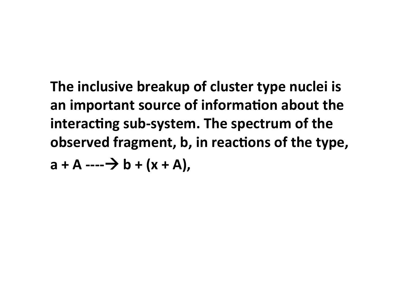**The inclusive breakup of cluster type nuclei is an** important source of information about the interacting sub-system. The spectrum of the **observed** fragment, **b**, in reactions of the type, **a** + **A** ----  $\rightarrow$  **b** + (x + **A**),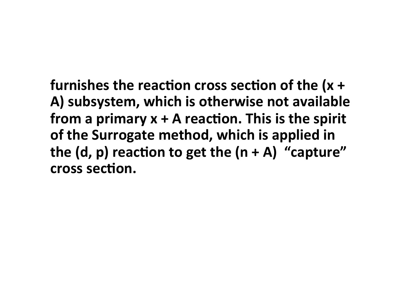**furnishes the reaction cross section of the (x +** A) subsystem, which is otherwise not available **from** a primary  $x + A$  reaction. This is the spirit **of the Surrogate method, which is applied in the (d, p) reaction to get the**  $(n+A)$  **"capture" cross** section.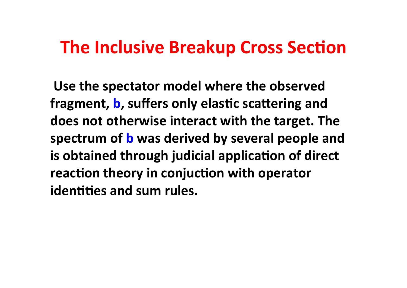### **The Inclusive Breakup Cross Section**

**Use&the spectator model where the observed fragment, b, suffers only elastic scattering and does not otherwise interact with the target. The spectrum of b was derived by several people and is** obtained through judicial application of direct **reaction theory in conjuction with operator identities and sum rules.**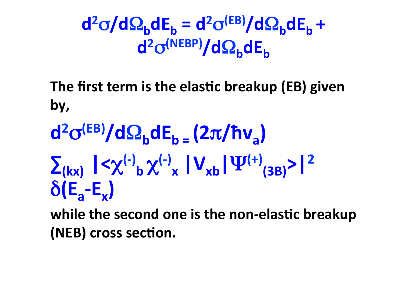$d^2σ/dΩ_b dE_b = d^2σ<sup>(EB)</sup>/dΩ_b dE_b +$ **d2**σ**(NEBP)/d**Ω**bdEb**

**The first term is the elastic breakup (EB) given by,**

 $d^2\sigma^{(EB)}/d\Omega_h dE_h = (2\pi/\hbar v_a)$  $\sum_{(kx)} |\langle \chi^{(-)}_{b} \chi^{(-)}_{b} \chi^{(-)}_{x}| V_{xb} | \Psi^{(+)}_{(3B)} \rangle |^{2}$  $\delta$ **(E<sub>a</sub>-E<sub>x</sub>)** 

**while the second one is the non-elastic breakup (NEB)** cross section.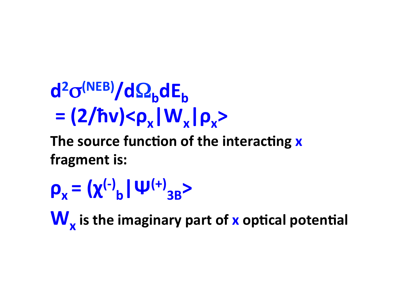**d2**σ**(NEB)/d**Ω**bdEb**  $= (2/hv) < \rho_x |W_x| \rho_x$ 

The source function of the interacting **x** fragment is:

 $\rho_x = (χ<sup>(-)</sup><sub>b</sub> | ψ<sup>(+)</sup><sub>3B</sub>)$ 

**W**<sub>x</sub> is the imaginary part of x optical potential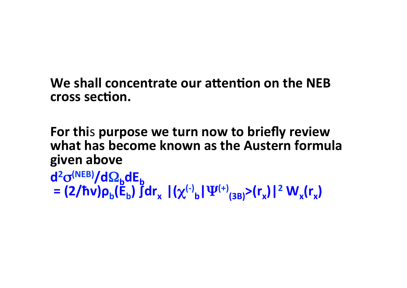**We shall concentrate our attention on the NEB cross section.** 

**For&thi**s!**purpose we turn now to briefly review what has become known as the Austern formula given above**

d<sup>2</sup>σ<sup>(NEB)</sup>/dΩ<sub>b</sub>dE<sub>b</sub>  $\mathbf{E} = (2/\hbar \dot{v}) \rho_{b}(\dot{\mathbf{E}}_{b}) \ddot{\mathbf{J}} d\mathbf{r}_{x} [(\chi^{(-)}_{b}|\Psi^{(+)}_{(3B)})(\mathbf{r}_{x})]^{2} W_{x}(\mathbf{r}_{x})$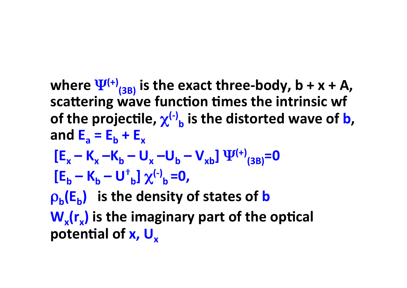**where**  $\Psi^{(+)}_{(3B)}$  **is the exact three-body, b + x + A, scattering wave function times the intrinsic wf of** the projectile,  $\chi^{(-)}$ , is the distorted wave of **b**, and  $E_a = E_b + E_x$  $[E_x - K_x - K_b - U_x - U_b - V_{xb}] \Psi^{(+)}_{(3B)} = 0$  $\left[\mathbf{E}_\mathbf{b} - \mathbf{K}_\mathbf{b} - \mathbf{U}^{\dagger}_{\mathbf{b}}\right] \chi^{(-)}_{\mathbf{b}} = 0$ ,  $\rho_h(E_h)$  is the density of states of **b W<sub>x</sub>(r<sub>x</sub>) is the imaginary part of the optical** 

**potential of x, U<sub>x</sub>**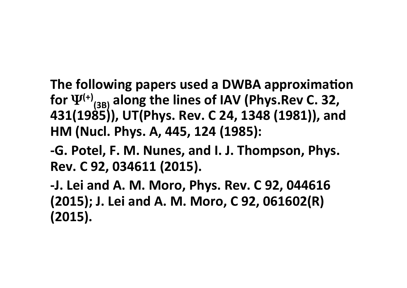**The following papers used a DWBA approximation** for  $\Psi^{(+)}_{(3B)}$  along the lines of IAV (Phys.Rev C. 32, 431(1985)), UT(Phys. Rev. C 24, 1348 (1981)), and **HM&(Nucl.&Phys.&A,&445,&124&(1985):**

**-G. Potel, F. M. Nunes, and I. J. Thompson, Phys. Rev.&C&92,&034611&(2015).&**

**9J.&Lei&and&A.&M.&Moro,&Phys.&Rev.&C&92,&044616& (2015); J. Lei and A. M. Moro, C 92, 061602(R) (2015).**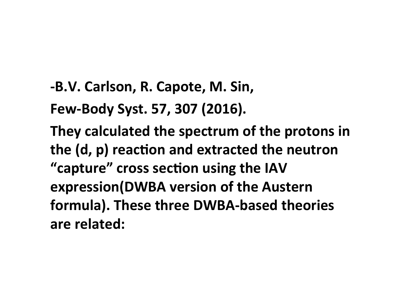**-B.V. Carlson, R. Capote, M. Sin,** 

**Few-Body Syst. 57, 307 (2016).** 

They calculated the spectrum of the protons in the (d, p) reaction and extracted the neutron "capture" cross section using the IAV **expression(DWBA version of the Austern** formula). These three DWBA-based theories are related: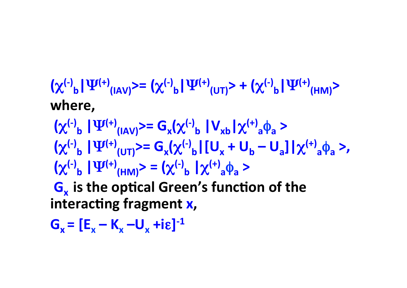$(\chi^{(-)}_{b} | \Psi^{(+)}_{(IAN)}) = (\chi^{(-)}_{b} | \Psi^{(+)}_{(UT)}) + (\chi^{(-)}_{b} | \Psi^{(+)}_{(HM)})$ where,

 $(\chi^{(-)}\circ \mathbf{I} \Psi^{(+)}\circ \mathbf{I}(\mathbf{A}\mathbf{V}))$  =  $\mathbf{G}_{\mathbf{x}}(\chi^{(-)}\circ \mathbf{I} \mathbf{V}_{\mathbf{x}\mathbf{b}}|\chi^{(+)}\circ \mathbf{I}(\mathbf{A}\mathbf{b})$  >  $\left(\chi^{(-)}\right|_b \left| \Psi^{(+)}\right|_{(UT)} = G_x(\chi^{(-)}\right|_{b} \left| \left[ U_x + U_b - U_a \right] \right| \chi^{(+)}\right|_{a} \phi_a >$  $\left(\chi^{(-)}\right)_b |\Psi^{(+)}(hm)\right>=\left(\chi^{(-)}\right)_b |\chi^{(+)}(ah)\right>=$ **G<sub>x</sub>** is the optical Green's function of the interacting fragment x,

 $G_v = [E_v - K_v - U_v + i \epsilon]^{-1}$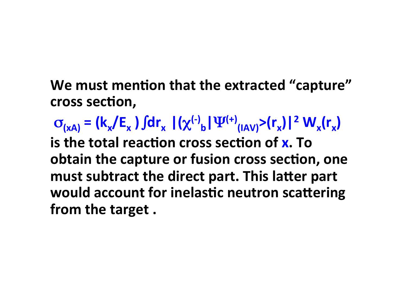We must mention that the extracted "capture" cross section,

 $\sigma_{(xA)} = (k_x / E_x) \int dr_x |(\chi^{(-)}_b| \Psi^{(+)}_{(IAV)})^2 (r_x)|^2 W_x(r_x)$ **is** the total reaction cross section of **x**. To **obtain the capture or fusion cross section, one must subtract the direct part. This latter part would** account for inelastic neutron scattering from the target.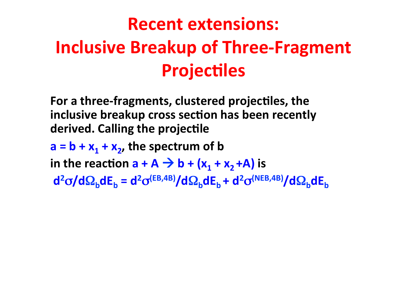# **Recent extensions: Inclusive Breakup of Three-Fragment Projectiles**

For a three-fragments, clustered projectiles, the **inclusive breakup cross section has been recently derived. Calling the projectile** 

 $a = b + x_1 + x_2$ , the spectrum of b in the reaction  $a + A \rightarrow b + (x_1 + x_2 + A)$  is  $d^2σ/dΩ_b dE_b = d^2σ^{(EB,4B)}/dΩ_b dE_b + d^2σ^{(NEB,4B)}/dΩ_b dE_b$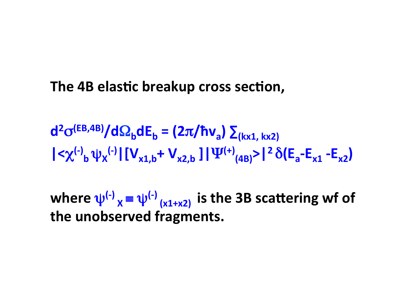#### **The 4B elastic breakup cross section,**

 $d^2\sigma^{(EB,AB)}/d\Omega_b dE_b = (2\pi/\hbar v_a)\sum_{(kx1, kx2)}$  $|\langle \chi^{(-)}\rangle_{b} \psi_{\chi}^{(-)}| [V_{x1,b} + V_{x2,b}] | \Psi^{(+)}_{(4B)}| \rangle |^{2} \delta(E_{a} - E_{x1} - E_{x2})$ 

**where**  $\psi^{(-)}$ <sub>*x*</sub> ≡  $\psi^{(-)}$ <sub>(x1+x2)</sub> is the 3B scattering wf of **the unobserved fragments.&**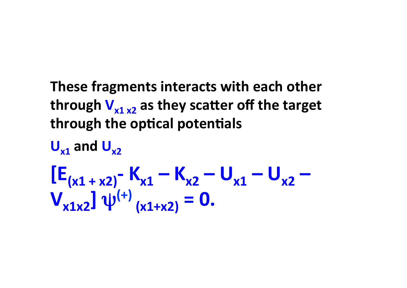### These fragments interacts with each other through  $V_{x1}$   $_{x2}$  as they scatter off the target through the optical potentials

# $\bigcup_{x1}$  and  $\bigcup_{x2}$  $E_{(x1 + x2)}$ - K<sub>x1</sub> – K<sub>x2</sub> – U<sub>x1</sub> – U<sub>x2</sub> –  $V_{x1x2}$ ]  $\psi^{(+)}_{(x1+x2)} = 0$ .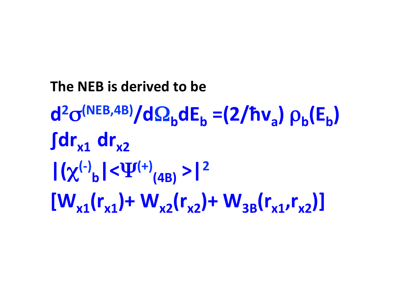**The&NEB&is derived to be d2**σ**(NEB,4B)/d**Ω**bdEb&=(2/ħva)&**ρ**b(Eb)&** ∫dr<sub>x1</sub> dr<sub>x2</sub>  $|(\chi^{(-)}_{b}|<\Psi^{(+)}_{(4B)})>|^{2}$  $[W_{x1}(r_{x1})+W_{x2}(r_{x2})+W_{3B}(r_{x1},r_{x2})]$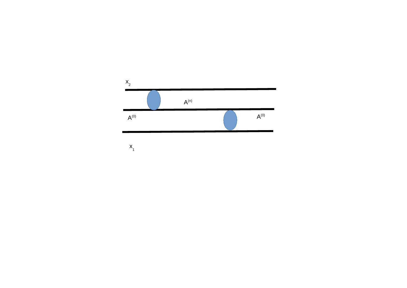

 $X_1$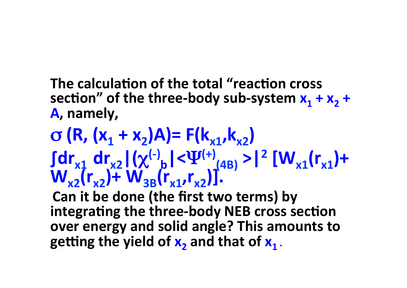### **The calculation of the total "reaction cross** section" of the three-body sub-system  $x_1 + x_2 +$ A, namely.

 $\sigma$  (R, (x<sub>1</sub> + x<sub>2</sub>)A)= F(k<sub>x1</sub>,k<sub>x2</sub>)  $\int dr_{x1} dr_{x2} |(\chi^{(-)}_{b}| < \Psi^{(+)}_{(4B)}) > |^{2} [W_{x1}(r_{x1})+$  $W_{x2}(r_{x2})+W_{3B}(r_{x1},r_{x2})$ ].

**Can it be done (the first two terms) by integrating the three-body NEB cross section over&energy and solid angle?&This amounts to getting the yield of**  $x_2$  **and that of**  $x_1$ **.**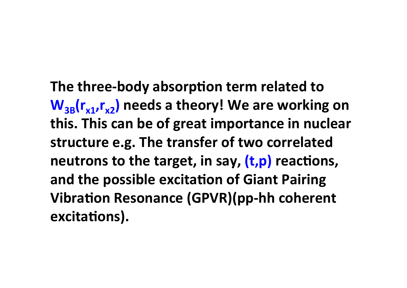**The three-body absorption term related to**  $W_{3B}(r_{x1},r_{y2})$  needs a theory! We are working on **this. This can be of great importance in nuclear structure e.g. The transfer of two correlated neutrons to the target, in say, (t,p) reactions, and the possible excitation of Giant Pairing Vibration Resonance (GPVR)(pp-hh coherent** excitations).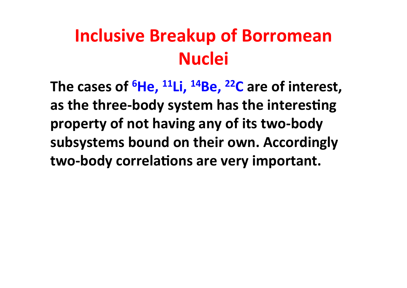### **Inclusive Breakup of Borromean Nuclei**

The cases of  ${}^{6}$ He,  ${}^{11}$ Li,  ${}^{14}$ Be,  ${}^{22}$ C are of interest, as the three-body system has the interesting property of not having any of its two-body subsystems bound on their own. Accordingly two-body correlations are very important.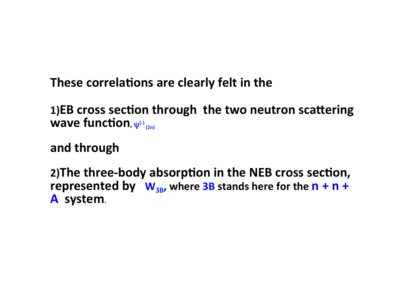These correlations are clearly felt in the

1)EB cross section through the two neutron scattering wave function,  $\psi^{(+)}_{(2n)}$ 

and through

2) The three-body absorption in the NEB cross section, represented by  $W_{3B}$ , where 3B stands here for the  $n + n +$ A system.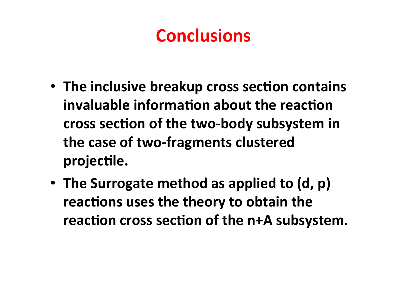### **Conclusions**

- The inclusive breakup cross section contains **invaluable information about the reaction** cross section of the two-body subsystem in the case of two-fragments clustered projectile.
- The Surrogate method as applied to (d, p) **reactions uses the theory to obtain the** reaction cross section of the n+A subsystem.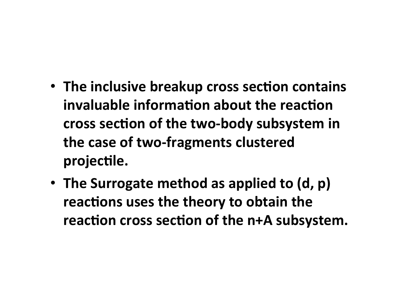- The inclusive breakup cross section contains **invaluable information about the reaction** cross section of the two-body subsystem in the case of two-fragments clustered projectile.
- The Surrogate method as applied to (d, p) **reactions uses the theory to obtain the** reaction cross section of the n+A subsystem.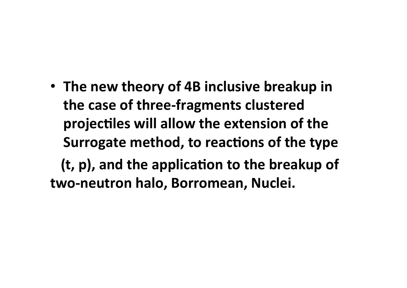• The new theory of 4B inclusive breakup in the case of three-fragments clustered projectiles will allow the extension of the **Surrogate method, to reactions of the type (t, p), and the application to the breakup of** two-neutron halo, Borromean, Nuclei.